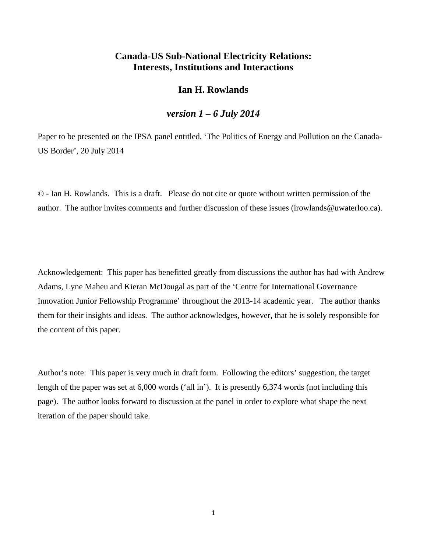# **Canada-US Sub-National Electricity Relations: Interests, Institutions and Interactions**

## **Ian H. Rowlands**

### *version 1 – 6 July 2014*

Paper to be presented on the IPSA panel entitled, 'The Politics of Energy and Pollution on the Canada-US Border', 20 July 2014

© - Ian H. Rowlands. This is a draft. Please do not cite or quote without written permission of the author. The author invites comments and further discussion of these issues (irowlands@uwaterloo.ca).

Acknowledgement: This paper has benefitted greatly from discussions the author has had with Andrew Adams, Lyne Maheu and Kieran McDougal as part of the 'Centre for International Governance Innovation Junior Fellowship Programme' throughout the 2013-14 academic year. The author thanks them for their insights and ideas. The author acknowledges, however, that he is solely responsible for the content of this paper.

Author's note: This paper is very much in draft form. Following the editors' suggestion, the target length of the paper was set at 6,000 words ('all in'). It is presently 6,374 words (not including this page). The author looks forward to discussion at the panel in order to explore what shape the next iteration of the paper should take.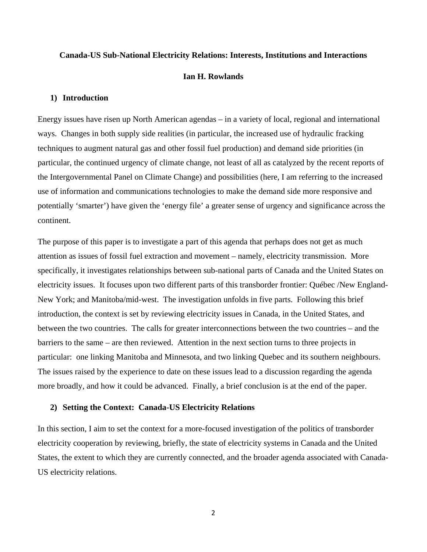#### **Canada-US Sub-National Electricity Relations: Interests, Institutions and Interactions**

#### **Ian H. Rowlands**

#### **1) Introduction**

Energy issues have risen up North American agendas – in a variety of local, regional and international ways. Changes in both supply side realities (in particular, the increased use of hydraulic fracking techniques to augment natural gas and other fossil fuel production) and demand side priorities (in particular, the continued urgency of climate change, not least of all as catalyzed by the recent reports of the Intergovernmental Panel on Climate Change) and possibilities (here, I am referring to the increased use of information and communications technologies to make the demand side more responsive and potentially 'smarter') have given the 'energy file' a greater sense of urgency and significance across the continent.

The purpose of this paper is to investigate a part of this agenda that perhaps does not get as much attention as issues of fossil fuel extraction and movement – namely, electricity transmission. More specifically, it investigates relationships between sub-national parts of Canada and the United States on electricity issues. It focuses upon two different parts of this transborder frontier: Québec /New England-New York; and Manitoba/mid-west. The investigation unfolds in five parts. Following this brief introduction, the context is set by reviewing electricity issues in Canada, in the United States, and between the two countries. The calls for greater interconnections between the two countries – and the barriers to the same – are then reviewed. Attention in the next section turns to three projects in particular: one linking Manitoba and Minnesota, and two linking Quebec and its southern neighbours. The issues raised by the experience to date on these issues lead to a discussion regarding the agenda more broadly, and how it could be advanced. Finally, a brief conclusion is at the end of the paper.

#### **2) Setting the Context: Canada-US Electricity Relations**

In this section, I aim to set the context for a more-focused investigation of the politics of transborder electricity cooperation by reviewing, briefly, the state of electricity systems in Canada and the United States, the extent to which they are currently connected, and the broader agenda associated with Canada-US electricity relations.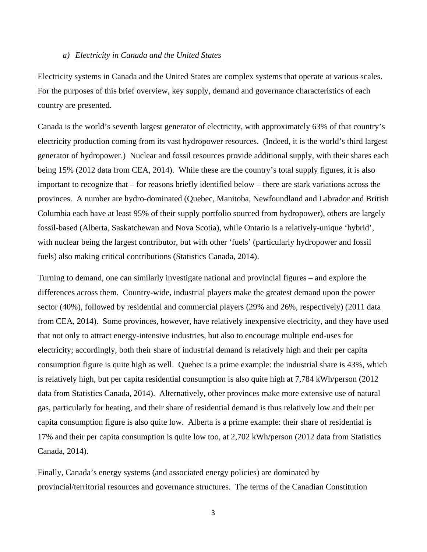#### *a) Electricity in Canada and the United States*

Electricity systems in Canada and the United States are complex systems that operate at various scales. For the purposes of this brief overview, key supply, demand and governance characteristics of each country are presented.

Canada is the world's seventh largest generator of electricity, with approximately 63% of that country's electricity production coming from its vast hydropower resources. (Indeed, it is the world's third largest generator of hydropower.) Nuclear and fossil resources provide additional supply, with their shares each being 15% (2012 data from CEA, 2014). While these are the country's total supply figures, it is also important to recognize that – for reasons briefly identified below – there are stark variations across the provinces. A number are hydro-dominated (Quebec, Manitoba, Newfoundland and Labrador and British Columbia each have at least 95% of their supply portfolio sourced from hydropower), others are largely fossil-based (Alberta, Saskatchewan and Nova Scotia), while Ontario is a relatively-unique 'hybrid', with nuclear being the largest contributor, but with other 'fuels' (particularly hydropower and fossil fuels) also making critical contributions (Statistics Canada, 2014).

Turning to demand, one can similarly investigate national and provincial figures – and explore the differences across them. Country-wide, industrial players make the greatest demand upon the power sector (40%), followed by residential and commercial players (29% and 26%, respectively) (2011 data from CEA, 2014). Some provinces, however, have relatively inexpensive electricity, and they have used that not only to attract energy-intensive industries, but also to encourage multiple end-uses for electricity; accordingly, both their share of industrial demand is relatively high and their per capita consumption figure is quite high as well. Quebec is a prime example: the industrial share is 43%, which is relatively high, but per capita residential consumption is also quite high at 7,784 kWh/person (2012 data from Statistics Canada, 2014). Alternatively, other provinces make more extensive use of natural gas, particularly for heating, and their share of residential demand is thus relatively low and their per capita consumption figure is also quite low. Alberta is a prime example: their share of residential is 17% and their per capita consumption is quite low too, at 2,702 kWh/person (2012 data from Statistics Canada, 2014).

Finally, Canada's energy systems (and associated energy policies) are dominated by provincial/territorial resources and governance structures. The terms of the Canadian Constitution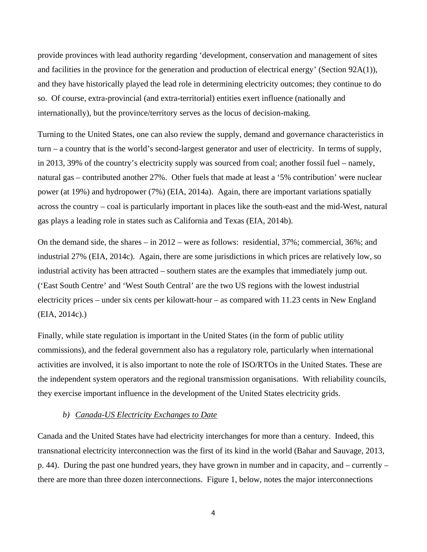provide provinces with lead authority regarding 'development, conservation and management of sites and facilities in the province for the generation and production of electrical energy' (Section 92A(1)), and they have historically played the lead role in determining electricity outcomes; they continue to do so. Of course, extra-provincial (and extra-territorial) entities exert influence (nationally and internationally), but the province/territory serves as the locus of decision-making.

Turning to the United States, one can also review the supply, demand and governance characteristics in turn – a country that is the world's second-largest generator and user of electricity. In terms of supply, in 2013, 39% of the country's electricity supply was sourced from coal; another fossil fuel – namely, natural gas – contributed another 27%. Other fuels that made at least a '5% contribution' were nuclear power (at 19%) and hydropower (7%) (EIA, 2014a). Again, there are important variations spatially across the country – coal is particularly important in places like the south-east and the mid-West, natural gas plays a leading role in states such as California and Texas (EIA, 2014b).

On the demand side, the shares – in 2012 – were as follows: residential, 37%; commercial, 36%; and industrial 27% (EIA, 2014c). Again, there are some jurisdictions in which prices are relatively low, so industrial activity has been attracted – southern states are the examples that immediately jump out. ('East South Centre' and 'West South Central' are the two US regions with the lowest industrial electricity prices – under six cents per kilowatt-hour – as compared with 11.23 cents in New England (EIA, 2014c).)

Finally, while state regulation is important in the United States (in the form of public utility commissions), and the federal government also has a regulatory role, particularly when international activities are involved, it is also important to note the role of ISO/RTOs in the United States. These are the independent system operators and the regional transmission organisations. With reliability councils, they exercise important influence in the development of the United States electricity grids.

#### *b) Canada-US Electricity Exchanges to Date*

Canada and the United States have had electricity interchanges for more than a century. Indeed, this transnational electricity interconnection was the first of its kind in the world (Bahar and Sauvage, 2013, p. 44). During the past one hundred years, they have grown in number and in capacity, and – currently – there are more than three dozen interconnections. Figure 1, below, notes the major interconnections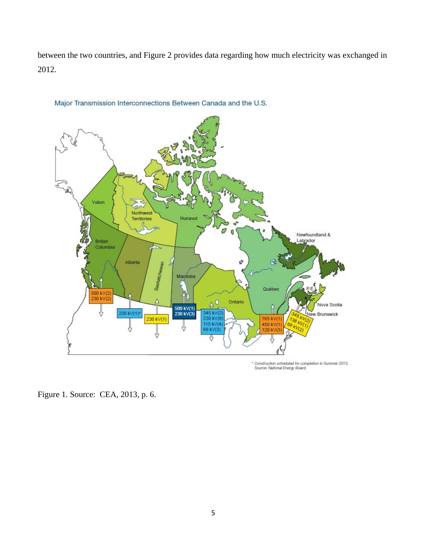between the two countries, and Figure 2 provides data regarding how much electricity was exchanged in 2012.



## Major Transmission Interconnections Between Canada and the U.S.

\* Construction scheduled for completion in Summer 2013.<br>Source: National Energy Board.

Figure 1. Source: CEA, 2013, p. 6.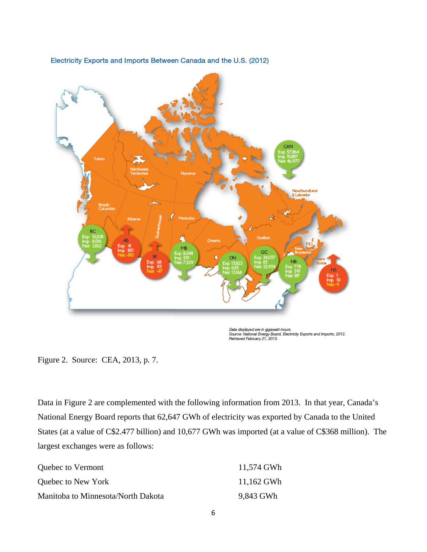

Electricity Exports and Imports Between Canada and the U.S. (2012)

Data displayed are in gigawatt-hours.<br>Source: National Energy Board, Electricity Exports and Imports, 2012.<br>Retrieved February 21, 2013.

Data in Figure 2 are complemented with the following information from 2013. In that year, Canada's National Energy Board reports that 62,647 GWh of electricity was exported by Canada to the United States (at a value of C\$2.477 billion) and 10,677 GWh was imported (at a value of C\$368 million). The largest exchanges were as follows:

| Quebec to Vermont                  | 11,574 GWh |
|------------------------------------|------------|
| Quebec to New York                 | 11,162 GWh |
| Manitoba to Minnesota/North Dakota | 9,843 GWh  |

Figure 2. Source: CEA, 2013, p. 7.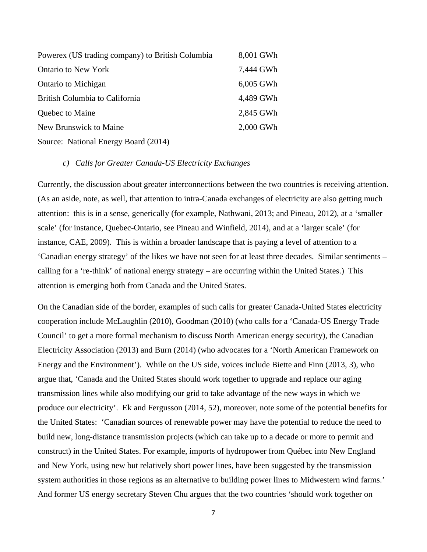| Powerex (US trading company) to British Columbia | 8,001 GWh |
|--------------------------------------------------|-----------|
| <b>Ontario to New York</b>                       | 7,444 GWh |
| Ontario to Michigan                              | 6,005 GWh |
| British Columbia to California                   | 4,489 GWh |
| Quebec to Maine                                  | 2,845 GWh |
| New Brunswick to Maine                           | 2,000 GWh |
| Source: National Energy Board (2014)             |           |

#### *c) Calls for Greater Canada-US Electricity Exchanges*

Currently, the discussion about greater interconnections between the two countries is receiving attention. (As an aside, note, as well, that attention to intra-Canada exchanges of electricity are also getting much attention: this is in a sense, generically (for example, Nathwani, 2013; and Pineau, 2012), at a 'smaller scale' (for instance, Quebec-Ontario, see Pineau and Winfield, 2014), and at a 'larger scale' (for instance, CAE, 2009). This is within a broader landscape that is paying a level of attention to a 'Canadian energy strategy' of the likes we have not seen for at least three decades. Similar sentiments – calling for a 're-think' of national energy strategy – are occurring within the United States.) This attention is emerging both from Canada and the United States.

On the Canadian side of the border, examples of such calls for greater Canada-United States electricity cooperation include McLaughlin (2010), Goodman (2010) (who calls for a 'Canada-US Energy Trade Council' to get a more formal mechanism to discuss North American energy security), the Canadian Electricity Association (2013) and Burn (2014) (who advocates for a 'North American Framework on Energy and the Environment'). While on the US side, voices include Biette and Finn (2013, 3), who argue that, 'Canada and the United States should work together to upgrade and replace our aging transmission lines while also modifying our grid to take advantage of the new ways in which we produce our electricity'. Ek and Fergusson (2014, 52), moreover, note some of the potential benefits for the United States: 'Canadian sources of renewable power may have the potential to reduce the need to build new, long-distance transmission projects (which can take up to a decade or more to permit and construct) in the United States. For example, imports of hydropower from Québec into New England and New York, using new but relatively short power lines, have been suggested by the transmission system authorities in those regions as an alternative to building power lines to Midwestern wind farms.' And former US energy secretary Steven Chu argues that the two countries 'should work together on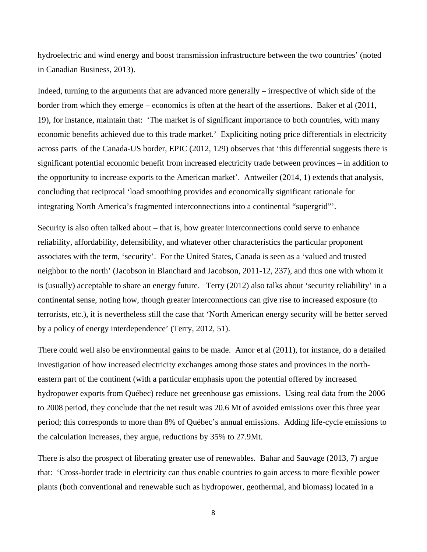hydroelectric and wind energy and boost transmission infrastructure between the two countries' (noted in Canadian Business, 2013).

Indeed, turning to the arguments that are advanced more generally – irrespective of which side of the border from which they emerge – economics is often at the heart of the assertions. Baker et al (2011, 19), for instance, maintain that: 'The market is of significant importance to both countries, with many economic benefits achieved due to this trade market.' Expliciting noting price differentials in electricity across parts of the Canada-US border, EPIC (2012, 129) observes that 'this differential suggests there is significant potential economic benefit from increased electricity trade between provinces – in addition to the opportunity to increase exports to the American market'. Antweiler (2014, 1) extends that analysis, concluding that reciprocal 'load smoothing provides and economically significant rationale for integrating North America's fragmented interconnections into a continental "supergrid"'.

Security is also often talked about – that is, how greater interconnections could serve to enhance reliability, affordability, defensibility, and whatever other characteristics the particular proponent associates with the term, 'security'. For the United States, Canada is seen as a 'valued and trusted neighbor to the north' (Jacobson in Blanchard and Jacobson, 2011-12, 237), and thus one with whom it is (usually) acceptable to share an energy future. Terry (2012) also talks about 'security reliability' in a continental sense, noting how, though greater interconnections can give rise to increased exposure (to terrorists, etc.), it is nevertheless still the case that 'North American energy security will be better served by a policy of energy interdependence' (Terry, 2012, 51).

There could well also be environmental gains to be made. Amor et al (2011), for instance, do a detailed investigation of how increased electricity exchanges among those states and provinces in the northeastern part of the continent (with a particular emphasis upon the potential offered by increased hydropower exports from Québec) reduce net greenhouse gas emissions. Using real data from the 2006 to 2008 period, they conclude that the net result was 20.6 Mt of avoided emissions over this three year period; this corresponds to more than 8% of Québec's annual emissions. Adding life-cycle emissions to the calculation increases, they argue, reductions by 35% to 27.9Mt.

There is also the prospect of liberating greater use of renewables. Bahar and Sauvage (2013, 7) argue that: 'Cross-border trade in electricity can thus enable countries to gain access to more flexible power plants (both conventional and renewable such as hydropower, geothermal, and biomass) located in a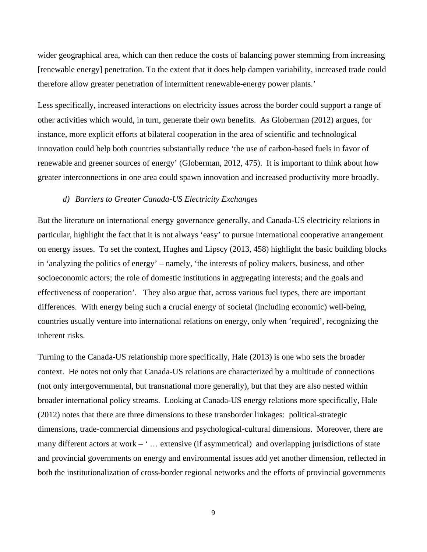wider geographical area, which can then reduce the costs of balancing power stemming from increasing [renewable energy] penetration. To the extent that it does help dampen variability, increased trade could therefore allow greater penetration of intermittent renewable-energy power plants.'

Less specifically, increased interactions on electricity issues across the border could support a range of other activities which would, in turn, generate their own benefits. As Globerman (2012) argues, for instance, more explicit efforts at bilateral cooperation in the area of scientific and technological innovation could help both countries substantially reduce 'the use of carbon-based fuels in favor of renewable and greener sources of energy' (Globerman, 2012, 475). It is important to think about how greater interconnections in one area could spawn innovation and increased productivity more broadly.

#### *d) Barriers to Greater Canada-US Electricity Exchanges*

But the literature on international energy governance generally, and Canada-US electricity relations in particular, highlight the fact that it is not always 'easy' to pursue international cooperative arrangement on energy issues. To set the context, Hughes and Lipscy (2013, 458) highlight the basic building blocks in 'analyzing the politics of energy' – namely, 'the interests of policy makers, business, and other socioeconomic actors; the role of domestic institutions in aggregating interests; and the goals and effectiveness of cooperation'. They also argue that, across various fuel types, there are important differences. With energy being such a crucial energy of societal (including economic) well-being, countries usually venture into international relations on energy, only when 'required', recognizing the inherent risks.

Turning to the Canada-US relationship more specifically, Hale (2013) is one who sets the broader context. He notes not only that Canada-US relations are characterized by a multitude of connections (not only intergovernmental, but transnational more generally), but that they are also nested within broader international policy streams. Looking at Canada-US energy relations more specifically, Hale (2012) notes that there are three dimensions to these transborder linkages: political-strategic dimensions, trade-commercial dimensions and psychological-cultural dimensions. Moreover, there are many different actors at work – '... extensive (if asymmetrical) and overlapping jurisdictions of state and provincial governments on energy and environmental issues add yet another dimension, reflected in both the institutionalization of cross-border regional networks and the efforts of provincial governments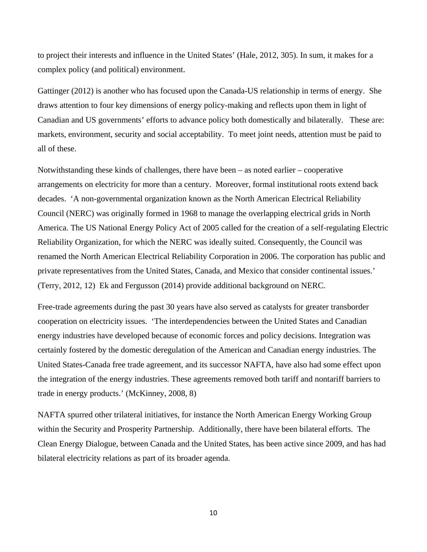to project their interests and influence in the United States' (Hale, 2012, 305). In sum, it makes for a complex policy (and political) environment.

Gattinger (2012) is another who has focused upon the Canada-US relationship in terms of energy. She draws attention to four key dimensions of energy policy-making and reflects upon them in light of Canadian and US governments' efforts to advance policy both domestically and bilaterally. These are: markets, environment, security and social acceptability. To meet joint needs, attention must be paid to all of these.

Notwithstanding these kinds of challenges, there have been – as noted earlier – cooperative arrangements on electricity for more than a century. Moreover, formal institutional roots extend back decades. 'A non-governmental organization known as the North American Electrical Reliability Council (NERC) was originally formed in 1968 to manage the overlapping electrical grids in North America. The US National Energy Policy Act of 2005 called for the creation of a self-regulating Electric Reliability Organization, for which the NERC was ideally suited. Consequently, the Council was renamed the North American Electrical Reliability Corporation in 2006. The corporation has public and private representatives from the United States, Canada, and Mexico that consider continental issues.' (Terry, 2012, 12) Ek and Fergusson (2014) provide additional background on NERC.

Free-trade agreements during the past 30 years have also served as catalysts for greater transborder cooperation on electricity issues. 'The interdependencies between the United States and Canadian energy industries have developed because of economic forces and policy decisions. Integration was certainly fostered by the domestic deregulation of the American and Canadian energy industries. The United States-Canada free trade agreement, and its successor NAFTA, have also had some effect upon the integration of the energy industries. These agreements removed both tariff and nontariff barriers to trade in energy products.' (McKinney, 2008, 8)

NAFTA spurred other trilateral initiatives, for instance the North American Energy Working Group within the Security and Prosperity Partnership. Additionally, there have been bilateral efforts. The Clean Energy Dialogue, between Canada and the United States, has been active since 2009, and has had bilateral electricity relations as part of its broader agenda.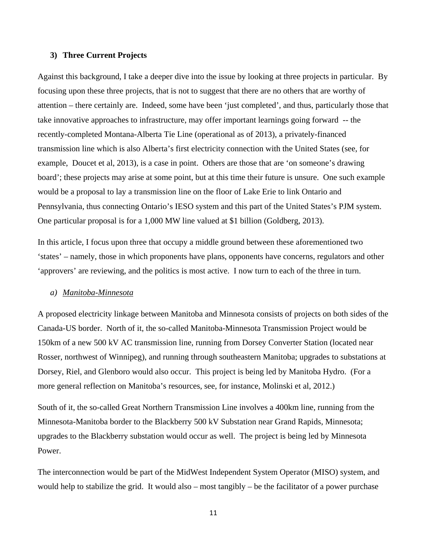#### **3) Three Current Projects**

Against this background, I take a deeper dive into the issue by looking at three projects in particular. By focusing upon these three projects, that is not to suggest that there are no others that are worthy of attention – there certainly are. Indeed, some have been 'just completed', and thus, particularly those that take innovative approaches to infrastructure, may offer important learnings going forward -- the recently-completed Montana-Alberta Tie Line (operational as of 2013), a privately-financed transmission line which is also Alberta's first electricity connection with the United States (see, for example, Doucet et al, 2013), is a case in point. Others are those that are 'on someone's drawing board'; these projects may arise at some point, but at this time their future is unsure. One such example would be a proposal to lay a transmission line on the floor of Lake Erie to link Ontario and Pennsylvania, thus connecting Ontario's IESO system and this part of the United States's PJM system. One particular proposal is for a 1,000 MW line valued at \$1 billion (Goldberg, 2013).

In this article, I focus upon three that occupy a middle ground between these aforementioned two 'states' – namely, those in which proponents have plans, opponents have concerns, regulators and other 'approvers' are reviewing, and the politics is most active. I now turn to each of the three in turn.

#### *a) Manitoba-Minnesota*

A proposed electricity linkage between Manitoba and Minnesota consists of projects on both sides of the Canada-US border. North of it, the so-called Manitoba-Minnesota Transmission Project would be 150km of a new 500 kV AC transmission line, running from Dorsey Converter Station (located near Rosser, northwest of Winnipeg), and running through southeastern Manitoba; upgrades to substations at Dorsey, Riel, and Glenboro would also occur. This project is being led by Manitoba Hydro. (For a more general reflection on Manitoba's resources, see, for instance, Molinski et al, 2012.)

South of it, the so-called Great Northern Transmission Line involves a 400km line, running from the Minnesota-Manitoba border to the Blackberry 500 kV Substation near Grand Rapids, Minnesota; upgrades to the Blackberry substation would occur as well. The project is being led by Minnesota Power.

The interconnection would be part of the MidWest Independent System Operator (MISO) system, and would help to stabilize the grid. It would also – most tangibly – be the facilitator of a power purchase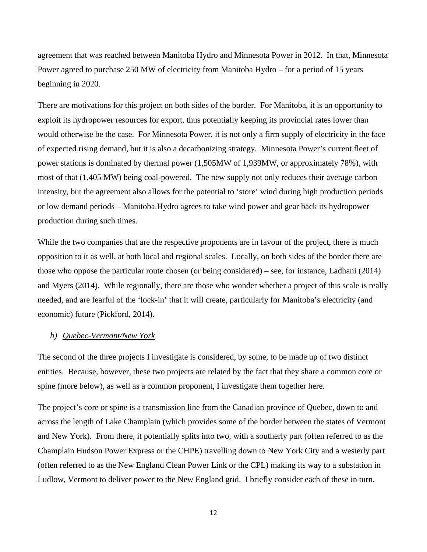agreement that was reached between Manitoba Hydro and Minnesota Power in 2012. In that, Minnesota Power agreed to purchase 250 MW of electricity from Manitoba Hydro – for a period of 15 years beginning in 2020.

There are motivations for this project on both sides of the border. For Manitoba, it is an opportunity to exploit its hydropower resources for export, thus potentially keeping its provincial rates lower than would otherwise be the case. For Minnesota Power, it is not only a firm supply of electricity in the face of expected rising demand, but it is also a decarbonizing strategy. Minnesota Power's current fleet of power stations is dominated by thermal power (1,505MW of 1,939MW, or approximately 78%), with most of that (1,405 MW) being coal-powered. The new supply not only reduces their average carbon intensity, but the agreement also allows for the potential to 'store' wind during high production periods or low demand periods – Manitoba Hydro agrees to take wind power and gear back its hydropower production during such times.

While the two companies that are the respective proponents are in favour of the project, there is much opposition to it as well, at both local and regional scales. Locally, on both sides of the border there are those who oppose the particular route chosen (or being considered) – see, for instance, Ladhani (2014) and Myers (2014). While regionally, there are those who wonder whether a project of this scale is really needed, and are fearful of the 'lock-in' that it will create, particularly for Manitoba's electricity (and economic) future (Pickford, 2014).

#### *b) Quebec-Vermont/New York*

The second of the three projects I investigate is considered, by some, to be made up of two distinct entities. Because, however, these two projects are related by the fact that they share a common core or spine (more below), as well as a common proponent, I investigate them together here.

The project's core or spine is a transmission line from the Canadian province of Quebec, down to and across the length of Lake Champlain (which provides some of the border between the states of Vermont and New York). From there, it potentially splits into two, with a southerly part (often referred to as the Champlain Hudson Power Express or the CHPE) travelling down to New York City and a westerly part (often referred to as the New England Clean Power Link or the CPL) making its way to a substation in Ludlow, Vermont to deliver power to the New England grid. I briefly consider each of these in turn.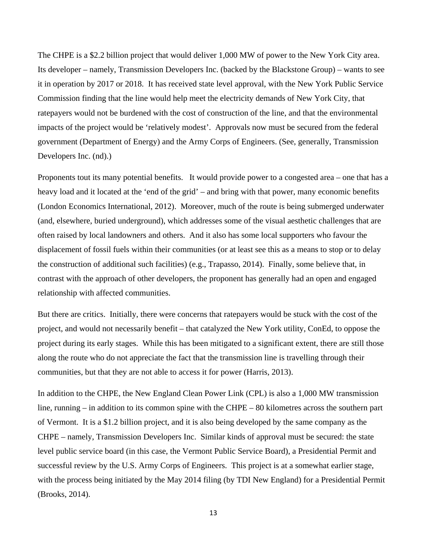The CHPE is a \$2.2 billion project that would deliver 1,000 MW of power to the New York City area. Its developer – namely, Transmission Developers Inc. (backed by the Blackstone Group) – wants to see it in operation by 2017 or 2018. It has received state level approval, with the New York Public Service Commission finding that the line would help meet the electricity demands of New York City, that ratepayers would not be burdened with the cost of construction of the line, and that the environmental impacts of the project would be 'relatively modest'. Approvals now must be secured from the federal government (Department of Energy) and the Army Corps of Engineers. (See, generally, Transmission Developers Inc. (nd).)

Proponents tout its many potential benefits. It would provide power to a congested area – one that has a heavy load and it located at the 'end of the grid' – and bring with that power, many economic benefits (London Economics International, 2012). Moreover, much of the route is being submerged underwater (and, elsewhere, buried underground), which addresses some of the visual aesthetic challenges that are often raised by local landowners and others. And it also has some local supporters who favour the displacement of fossil fuels within their communities (or at least see this as a means to stop or to delay the construction of additional such facilities) (e.g., Trapasso, 2014). Finally, some believe that, in contrast with the approach of other developers, the proponent has generally had an open and engaged relationship with affected communities.

But there are critics. Initially, there were concerns that ratepayers would be stuck with the cost of the project, and would not necessarily benefit – that catalyzed the New York utility, ConEd, to oppose the project during its early stages. While this has been mitigated to a significant extent, there are still those along the route who do not appreciate the fact that the transmission line is travelling through their communities, but that they are not able to access it for power (Harris, 2013).

In addition to the CHPE, the New England Clean Power Link (CPL) is also a 1,000 MW transmission line, running – in addition to its common spine with the CHPE – 80 kilometres across the southern part of Vermont. It is a \$1.2 billion project, and it is also being developed by the same company as the CHPE – namely, Transmission Developers Inc. Similar kinds of approval must be secured: the state level public service board (in this case, the Vermont Public Service Board), a Presidential Permit and successful review by the U.S. Army Corps of Engineers. This project is at a somewhat earlier stage, with the process being initiated by the May 2014 filing (by TDI New England) for a Presidential Permit (Brooks, 2014).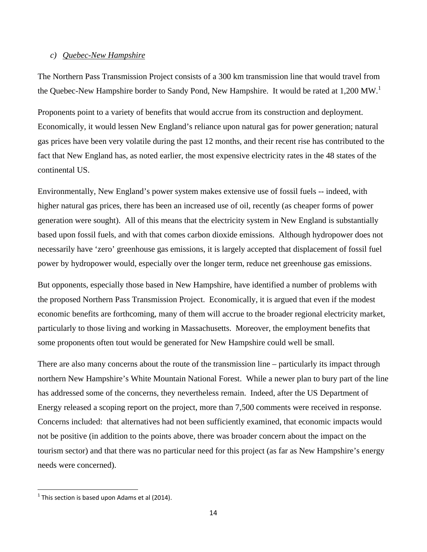### *c) Quebec-New Hampshire*

The Northern Pass Transmission Project consists of a 300 km transmission line that would travel from the Quebec-New Hampshire border to Sandy Pond, New Hampshire. It would be rated at  $1,200$  MW.<sup>1</sup>

Proponents point to a variety of benefits that would accrue from its construction and deployment. Economically, it would lessen New England's reliance upon natural gas for power generation; natural gas prices have been very volatile during the past 12 months, and their recent rise has contributed to the fact that New England has, as noted earlier, the most expensive electricity rates in the 48 states of the continental US.

Environmentally, New England's power system makes extensive use of fossil fuels -- indeed, with higher natural gas prices, there has been an increased use of oil, recently (as cheaper forms of power generation were sought). All of this means that the electricity system in New England is substantially based upon fossil fuels, and with that comes carbon dioxide emissions. Although hydropower does not necessarily have 'zero' greenhouse gas emissions, it is largely accepted that displacement of fossil fuel power by hydropower would, especially over the longer term, reduce net greenhouse gas emissions.

But opponents, especially those based in New Hampshire, have identified a number of problems with the proposed Northern Pass Transmission Project. Economically, it is argued that even if the modest economic benefits are forthcoming, many of them will accrue to the broader regional electricity market, particularly to those living and working in Massachusetts. Moreover, the employment benefits that some proponents often tout would be generated for New Hampshire could well be small.

There are also many concerns about the route of the transmission line – particularly its impact through northern New Hampshire's White Mountain National Forest. While a newer plan to bury part of the line has addressed some of the concerns, they nevertheless remain. Indeed, after the US Department of Energy released a scoping report on the project, more than 7,500 comments were received in response. Concerns included: that alternatives had not been sufficiently examined, that economic impacts would not be positive (in addition to the points above, there was broader concern about the impact on the tourism sector) and that there was no particular need for this project (as far as New Hampshire's energy needs were concerned).

 $1$ <sup>1</sup> This section is based upon Adams et al (2014).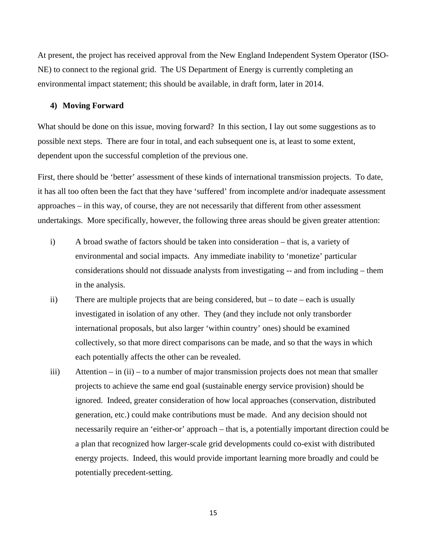At present, the project has received approval from the New England Independent System Operator (ISO-NE) to connect to the regional grid. The US Department of Energy is currently completing an environmental impact statement; this should be available, in draft form, later in 2014.

#### **4) Moving Forward**

What should be done on this issue, moving forward? In this section, I lay out some suggestions as to possible next steps. There are four in total, and each subsequent one is, at least to some extent, dependent upon the successful completion of the previous one.

First, there should be 'better' assessment of these kinds of international transmission projects. To date, it has all too often been the fact that they have 'suffered' from incomplete and/or inadequate assessment approaches – in this way, of course, they are not necessarily that different from other assessment undertakings. More specifically, however, the following three areas should be given greater attention:

- i) A broad swathe of factors should be taken into consideration that is, a variety of environmental and social impacts. Any immediate inability to 'monetize' particular considerations should not dissuade analysts from investigating -- and from including – them in the analysis.
- ii) There are multiple projects that are being considered, but to date each is usually investigated in isolation of any other. They (and they include not only transborder international proposals, but also larger 'within country' ones) should be examined collectively, so that more direct comparisons can be made, and so that the ways in which each potentially affects the other can be revealed.
- iii) Attention in (ii) to a number of major transmission projects does not mean that smaller projects to achieve the same end goal (sustainable energy service provision) should be ignored. Indeed, greater consideration of how local approaches (conservation, distributed generation, etc.) could make contributions must be made. And any decision should not necessarily require an 'either-or' approach – that is, a potentially important direction could be a plan that recognized how larger-scale grid developments could co-exist with distributed energy projects. Indeed, this would provide important learning more broadly and could be potentially precedent-setting.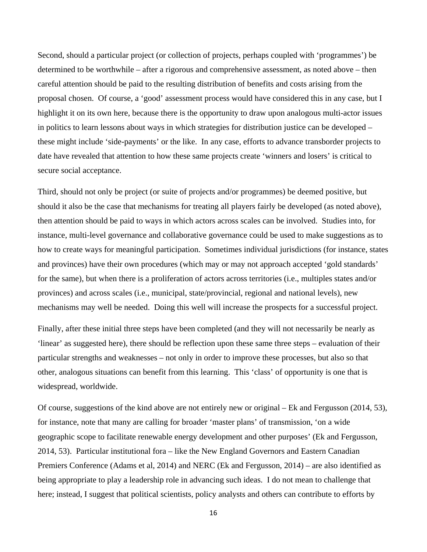Second, should a particular project (or collection of projects, perhaps coupled with 'programmes') be determined to be worthwhile – after a rigorous and comprehensive assessment, as noted above – then careful attention should be paid to the resulting distribution of benefits and costs arising from the proposal chosen. Of course, a 'good' assessment process would have considered this in any case, but I highlight it on its own here, because there is the opportunity to draw upon analogous multi-actor issues in politics to learn lessons about ways in which strategies for distribution justice can be developed – these might include 'side-payments' or the like. In any case, efforts to advance transborder projects to date have revealed that attention to how these same projects create 'winners and losers' is critical to secure social acceptance.

Third, should not only be project (or suite of projects and/or programmes) be deemed positive, but should it also be the case that mechanisms for treating all players fairly be developed (as noted above), then attention should be paid to ways in which actors across scales can be involved. Studies into, for instance, multi-level governance and collaborative governance could be used to make suggestions as to how to create ways for meaningful participation. Sometimes individual jurisdictions (for instance, states and provinces) have their own procedures (which may or may not approach accepted 'gold standards' for the same), but when there is a proliferation of actors across territories (i.e., multiples states and/or provinces) and across scales (i.e., municipal, state/provincial, regional and national levels), new mechanisms may well be needed. Doing this well will increase the prospects for a successful project.

Finally, after these initial three steps have been completed (and they will not necessarily be nearly as 'linear' as suggested here), there should be reflection upon these same three steps – evaluation of their particular strengths and weaknesses – not only in order to improve these processes, but also so that other, analogous situations can benefit from this learning. This 'class' of opportunity is one that is widespread, worldwide.

Of course, suggestions of the kind above are not entirely new or original – Ek and Fergusson (2014, 53), for instance, note that many are calling for broader 'master plans' of transmission, 'on a wide geographic scope to facilitate renewable energy development and other purposes' (Ek and Fergusson, 2014, 53). Particular institutional fora – like the New England Governors and Eastern Canadian Premiers Conference (Adams et al, 2014) and NERC (Ek and Fergusson, 2014) – are also identified as being appropriate to play a leadership role in advancing such ideas. I do not mean to challenge that here; instead, I suggest that political scientists, policy analysts and others can contribute to efforts by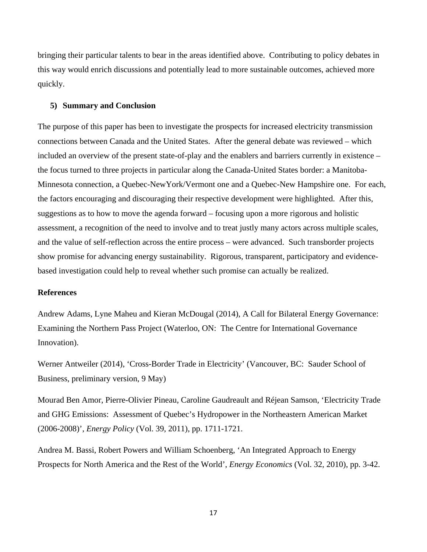bringing their particular talents to bear in the areas identified above. Contributing to policy debates in this way would enrich discussions and potentially lead to more sustainable outcomes, achieved more quickly.

#### **5) Summary and Conclusion**

The purpose of this paper has been to investigate the prospects for increased electricity transmission connections between Canada and the United States. After the general debate was reviewed – which included an overview of the present state-of-play and the enablers and barriers currently in existence – the focus turned to three projects in particular along the Canada-United States border: a Manitoba-Minnesota connection, a Quebec-NewYork/Vermont one and a Quebec-New Hampshire one. For each, the factors encouraging and discouraging their respective development were highlighted. After this, suggestions as to how to move the agenda forward – focusing upon a more rigorous and holistic assessment, a recognition of the need to involve and to treat justly many actors across multiple scales, and the value of self-reflection across the entire process – were advanced. Such transborder projects show promise for advancing energy sustainability. Rigorous, transparent, participatory and evidencebased investigation could help to reveal whether such promise can actually be realized.

#### **References**

Andrew Adams, Lyne Maheu and Kieran McDougal (2014), A Call for Bilateral Energy Governance: Examining the Northern Pass Project (Waterloo, ON: The Centre for International Governance Innovation).

Werner Antweiler (2014), 'Cross-Border Trade in Electricity' (Vancouver, BC: Sauder School of Business, preliminary version, 9 May)

Mourad Ben Amor, Pierre-Olivier Pineau, Caroline Gaudreault and Réjean Samson, 'Electricity Trade and GHG Emissions: Assessment of Quebec's Hydropower in the Northeastern American Market (2006-2008)', *Energy Policy* (Vol. 39, 2011), pp. 1711-1721.

Andrea M. Bassi, Robert Powers and William Schoenberg, 'An Integrated Approach to Energy Prospects for North America and the Rest of the World', *Energy Economics* (Vol. 32, 2010), pp. 3-42.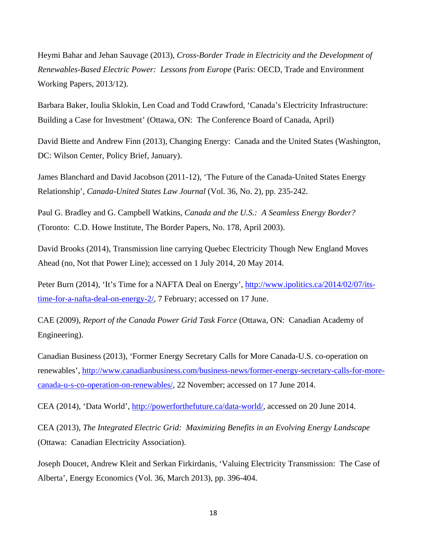Heymi Bahar and Jehan Sauvage (2013), *Cross-Border Trade in Electricity and the Development of Renewables-Based Electric Power: Lessons from Europe* (Paris: OECD, Trade and Environment Working Papers, 2013/12).

Barbara Baker, Ioulia Sklokin, Len Coad and Todd Crawford, 'Canada's Electricity Infrastructure: Building a Case for Investment' (Ottawa, ON: The Conference Board of Canada, April)

David Biette and Andrew Finn (2013), Changing Energy: Canada and the United States (Washington, DC: Wilson Center, Policy Brief, January).

James Blanchard and David Jacobson (2011-12), 'The Future of the Canada-United States Energy Relationship', *Canada-United States Law Journal* (Vol. 36, No. 2), pp. 235-242.

Paul G. Bradley and G. Campbell Watkins, *Canada and the U.S.: A Seamless Energy Border?* (Toronto: C.D. Howe Institute, The Border Papers, No. 178, April 2003).

David Brooks (2014), Transmission line carrying Quebec Electricity Though New England Moves Ahead (no, Not that Power Line); accessed on 1 July 2014, 20 May 2014.

Peter Burn (2014), 'It's Time for a NAFTA Deal on Energy', http://www.ipolitics.ca/2014/02/07/itstime-for-a-nafta-deal-on-energy-2/, 7 February; accessed on 17 June.

CAE (2009), *Report of the Canada Power Grid Task Force* (Ottawa, ON: Canadian Academy of Engineering).

Canadian Business (2013), 'Former Energy Secretary Calls for More Canada-U.S. co-operation on renewables', http://www.canadianbusiness.com/business-news/former-energy-secretary-calls-for-morecanada-u-s-co-operation-on-renewables/, 22 November; accessed on 17 June 2014.

CEA (2014), 'Data World', http://powerforthefuture.ca/data-world/, accessed on 20 June 2014.

CEA (2013), *The Integrated Electric Grid: Maximizing Benefits in an Evolving Energy Landscape* (Ottawa: Canadian Electricity Association).

Joseph Doucet, Andrew Kleit and Serkan Firkirdanis, 'Valuing Electricity Transmission: The Case of Alberta', Energy Economics (Vol. 36, March 2013), pp. 396-404.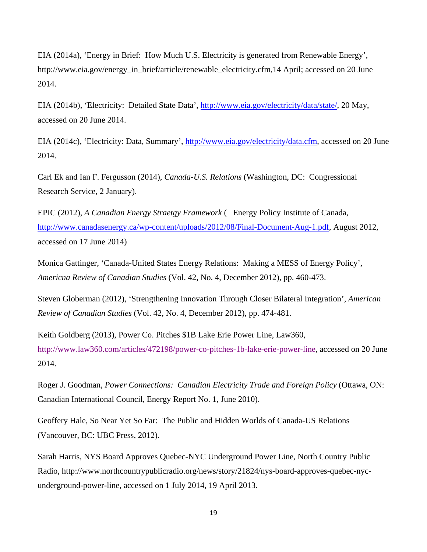EIA (2014a), 'Energy in Brief: How Much U.S. Electricity is generated from Renewable Energy', http://www.eia.gov/energy\_in\_brief/article/renewable\_electricity.cfm,14 April; accessed on 20 June 2014.

EIA (2014b), 'Electricity: Detailed State Data', http://www.eia.gov/electricity/data/state/, 20 May, accessed on 20 June 2014.

EIA (2014c), 'Electricity: Data, Summary', http://www.eia.gov/electricity/data.cfm, accessed on 20 June 2014.

Carl Ek and Ian F. Fergusson (2014), *Canada-U.S. Relations* (Washington, DC: Congressional Research Service, 2 January).

EPIC (2012), *A Canadian Energy Straetgy Framework* ( Energy Policy Institute of Canada, http://www.canadasenergy.ca/wp-content/uploads/2012/08/Final-Document-Aug-1.pdf, August 2012, accessed on 17 June 2014)

Monica Gattinger, 'Canada-United States Energy Relations: Making a MESS of Energy Policy', *Americna Review of Canadian Studies* (Vol. 42, No. 4, December 2012), pp. 460-473.

Steven Globerman (2012), 'Strengthening Innovation Through Closer Bilateral Integration', *American Review of Canadian Studies* (Vol. 42, No. 4, December 2012), pp. 474-481.

Keith Goldberg (2013), Power Co. Pitches \$1B Lake Erie Power Line, Law360, http://www.law360.com/articles/472198/power-co-pitches-1b-lake-erie-power-line, accessed on 20 June 2014.

Roger J. Goodman, *Power Connections: Canadian Electricity Trade and Foreign Policy* (Ottawa, ON: Canadian International Council, Energy Report No. 1, June 2010).

Geoffery Hale, So Near Yet So Far: The Public and Hidden Worlds of Canada-US Relations (Vancouver, BC: UBC Press, 2012).

Sarah Harris, NYS Board Approves Quebec-NYC Underground Power Line, North Country Public Radio, http://www.northcountrypublicradio.org/news/story/21824/nys-board-approves-quebec-nycunderground-power-line, accessed on 1 July 2014, 19 April 2013.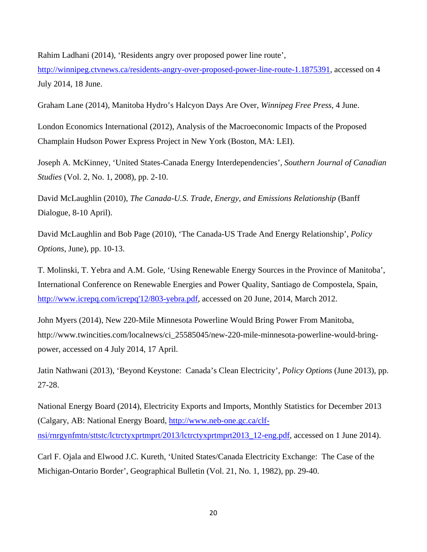Rahim Ladhani (2014), 'Residents angry over proposed power line route',

http://winnipeg.ctvnews.ca/residents-angry-over-proposed-power-line-route-1.1875391, accessed on 4 July 2014, 18 June.

Graham Lane (2014), Manitoba Hydro's Halcyon Days Are Over, *Winnipeg Free Press*, 4 June.

London Economics International (2012), Analysis of the Macroeconomic Impacts of the Proposed Champlain Hudson Power Express Project in New York (Boston, MA: LEI).

Joseph A. McKinney, 'United States-Canada Energy Interdependencies', *Southern Journal of Canadian Studies* (Vol. 2, No. 1, 2008), pp. 2-10.

David McLaughlin (2010), *The Canada-U.S. Trade, Energy, and Emissions Relationship* (Banff Dialogue, 8-10 April).

David McLaughlin and Bob Page (2010), 'The Canada-US Trade And Energy Relationship', *Policy Options*, June), pp. 10-13.

T. Molinski, T. Yebra and A.M. Gole, 'Using Renewable Energy Sources in the Province of Manitoba', International Conference on Renewable Energies and Power Quality, Santiago de Compostela, Spain, http://www.icrepq.com/icrepq'12/803-yebra.pdf, accessed on 20 June, 2014, March 2012.

John Myers (2014), New 220-Mile Minnesota Powerline Would Bring Power From Manitoba, http://www.twincities.com/localnews/ci\_25585045/new-220-mile-minnesota-powerline-would-bringpower, accessed on 4 July 2014, 17 April.

Jatin Nathwani (2013), 'Beyond Keystone: Canada's Clean Electricity', *Policy Options* (June 2013), pp. 27-28.

National Energy Board (2014), Electricity Exports and Imports, Monthly Statistics for December 2013 (Calgary, AB: National Energy Board, http://www.neb-one.gc.ca/clfnsi/rnrgynfmtn/sttstc/lctrctyxprtmprt/2013/lctrctyxprtmprt2013\_12-eng.pdf, accessed on 1 June 2014).

Carl F. Ojala and Elwood J.C. Kureth, 'United States/Canada Electricity Exchange: The Case of the Michigan-Ontario Border', Geographical Bulletin (Vol. 21, No. 1, 1982), pp. 29-40.